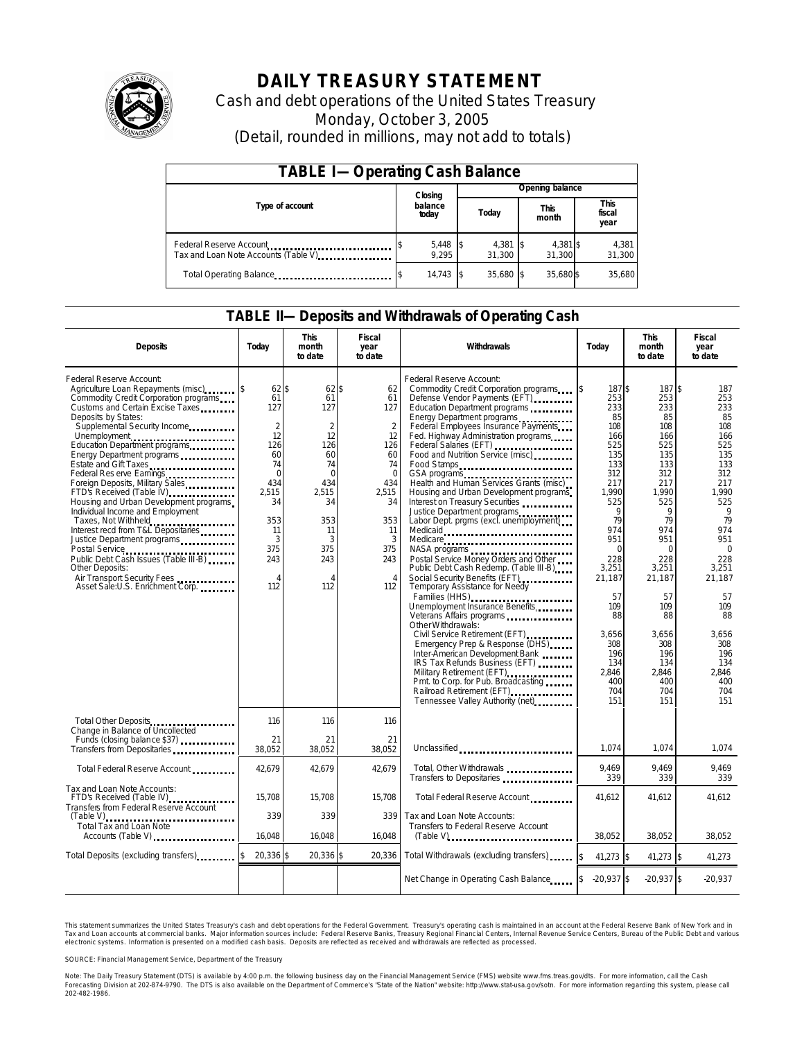

# **DAILY TREASURY STATEMENT**

Cash and debt operations of the United States Treasury Monday, October 3, 2005 (Detail, rounded in millions, may not add to totals)

| <b>TABLE I-Operating Cash Balance</b>                           |                  |                   |  |                               |  |                    |                               |                 |  |
|-----------------------------------------------------------------|------------------|-------------------|--|-------------------------------|--|--------------------|-------------------------------|-----------------|--|
|                                                                 |                  | Closing           |  | Opening balance               |  |                    |                               |                 |  |
| Type of account                                                 | balance<br>today |                   |  | <b>This</b><br>Today<br>month |  |                    | <b>This</b><br>fiscal<br>year |                 |  |
| Federal Reserve Account<br>Tax and Loan Note Accounts (Table V) |                  | 5,448 \$<br>9.295 |  | $4,381$ \$<br>31.300          |  | 4,381 \$<br>31.300 |                               | 4,381<br>31,300 |  |
| Total Operating Balance                                         |                  | 14,743 \$         |  | 35.680 \$                     |  | 35.680 \$          |                               | 35.680          |  |

### **TABLE II—Deposits and Withdrawals of Operating Cash**

| <b>Deposits</b>                                                                                                                                                                                                                                                                                                                                                                                                                                                                                                                                                                                                                                                                                                                                       | Today                                                                                                                                                       | <b>This</b><br>month<br>to date                                                                                                                             | Fiscal<br>year<br>to date                                                                                                                                | Withdrawals                                                                                                                                                                                                                                                                                                                                                                                                                                                                                                                                                                                                                                                                                                                                                                                                                                                                                                                                                                                                                                                                                                            | Today                                                                                                                                                                                                                                    | <b>This</b><br>month<br>to date                                                                                                                                                                                                           | <b>Fiscal</b><br>year<br>to date                                                                                                                                                                                                       |
|-------------------------------------------------------------------------------------------------------------------------------------------------------------------------------------------------------------------------------------------------------------------------------------------------------------------------------------------------------------------------------------------------------------------------------------------------------------------------------------------------------------------------------------------------------------------------------------------------------------------------------------------------------------------------------------------------------------------------------------------------------|-------------------------------------------------------------------------------------------------------------------------------------------------------------|-------------------------------------------------------------------------------------------------------------------------------------------------------------|----------------------------------------------------------------------------------------------------------------------------------------------------------|------------------------------------------------------------------------------------------------------------------------------------------------------------------------------------------------------------------------------------------------------------------------------------------------------------------------------------------------------------------------------------------------------------------------------------------------------------------------------------------------------------------------------------------------------------------------------------------------------------------------------------------------------------------------------------------------------------------------------------------------------------------------------------------------------------------------------------------------------------------------------------------------------------------------------------------------------------------------------------------------------------------------------------------------------------------------------------------------------------------------|------------------------------------------------------------------------------------------------------------------------------------------------------------------------------------------------------------------------------------------|-------------------------------------------------------------------------------------------------------------------------------------------------------------------------------------------------------------------------------------------|----------------------------------------------------------------------------------------------------------------------------------------------------------------------------------------------------------------------------------------|
| Federal Reserve Account:<br>Agriculture Loan Repayments (misc)<br>Commodity Credit Corporation programs<br>Customs and Certain Excise Taxes<br>Deposits by States:<br>Supplemental Security Income<br>Unemployment<br>Education Department programs<br>Energy Department programs<br>Estate and Gift Taxes<br>Federal Res erve Earnings<br>Foreign Deposits, Military Sales<br>FTD's Received (Table IV) <b>FTD</b> 's Received (Table IV)<br>Housing and Urban Development programs<br>Individual Income and Employment<br>Taxes, Not Withheld<br>Interest recd from T&L Depositaries<br>Justice Department programs<br>Public Debt Cash Issues (Table III-B)<br>Other Deposits:<br>Air Transport Security Fees<br>Asset Sale: U.S. Enrichment Corp. | 62 \$<br>61<br>127<br>$\overline{2}$<br>12<br>126<br>60<br>74<br>$\mathbf 0$<br>434<br>2,515<br>34<br>353<br>11<br>3<br>375<br>243<br>$\overline{4}$<br>112 | 62 \$<br>61<br>127<br>$\overline{2}$<br>12<br>126<br>60<br>74<br>$\mathbf 0$<br>434<br>2,515<br>34<br>353<br>11<br>3<br>375<br>243<br>$\overline{A}$<br>112 | 62<br>61<br>127<br>$\overline{2}$<br>12<br>126<br>60<br>74<br>$\mathbf 0$<br>434<br>2,515<br>34<br>353<br>11<br>3<br>375<br>243<br>$\overline{4}$<br>112 | Federal Reserve Account:<br>Commodity Credit Corporation programs<br>Defense Vendor Payments (EFT)<br>Education Department programs<br>Energy Department programs<br>Federal Employees Insurance Payments<br>Fed. Highway Administration programs<br>Federal Salaries (EFT)<br>Food and Nutrition Service (misc)<br>Food Stanps<br>GSA programs<br>Health and Human Services Grants (misc)<br>Housing and Urban Development programs<br>Interest on Treasury Securities<br>Justice Department programs<br>Labor Dept. prgms (excl. unemployment)<br>Medicaid<br>Medicare<br>Postal Service Money Orders and Other<br>Public Debt Cash Redemp. (Table III-B)<br>Social Security Benefits (EFT)<br>Temporary Assistance for Needy<br>Families (HHS)<br>Unemployment Insurance Benefits<br>Veterans Affairs programs<br>Other Withdrawals:<br>Civil Service Retirement (EFT)<br>Emergency Prep & Response (DHS)<br>Inter-American Development Bank<br>IRS Tax Refunds Business (EFT)<br>Military Retirement (EFT)<br>Pmt. to Corp. for Pub. Broadcasting<br>Railroad Retirement (EFT)<br>Tennessee Valley Authority (net) | 187\$<br>253<br>233<br>85<br>108<br>166<br>525<br>135<br>133<br>312<br>217<br>1,990<br>525<br>9<br>79<br>974<br>951<br>$\Omega$<br>228<br>3,251<br>21,187<br>57<br>109<br>88<br>3.656<br>308<br>196<br>134<br>2.846<br>400<br>704<br>151 | 187 \$<br>253<br>233<br>85<br>108<br>166<br>525<br>135<br>133<br>312<br>217<br>1,990<br>525<br>9<br>79<br>974<br>951<br>$\Omega$<br>228<br>3,251<br>21,187<br>57<br>109<br>88<br>3.656<br>308<br>196<br>134<br>2.846<br>400<br>704<br>151 | 187<br>253<br>233<br>85<br>108<br>166<br>525<br>135<br>133<br>312<br>217<br>1,990<br>525<br>9<br>79<br>974<br>951<br>$\Omega$<br>228<br>3,251<br>21,187<br>57<br>109<br>88<br>3.656<br>308<br>196<br>134<br>2.846<br>400<br>704<br>151 |
| <b>Total Other Deposits</b><br><br>Change in Balance of Uncollected<br>Funds (closing balance \$37)<br>Transfers from Depositaries                                                                                                                                                                                                                                                                                                                                                                                                                                                                                                                                                                                                                    | 116<br>21<br>38,052                                                                                                                                         | 116<br>21<br>38,052                                                                                                                                         | 116<br>21<br>38.052                                                                                                                                      | Unclassified                                                                                                                                                                                                                                                                                                                                                                                                                                                                                                                                                                                                                                                                                                                                                                                                                                                                                                                                                                                                                                                                                                           | 1,074                                                                                                                                                                                                                                    | 1,074                                                                                                                                                                                                                                     | 1,074                                                                                                                                                                                                                                  |
| Total Federal Reserve Account                                                                                                                                                                                                                                                                                                                                                                                                                                                                                                                                                                                                                                                                                                                         | 42,679                                                                                                                                                      | 42,679                                                                                                                                                      | 42,679                                                                                                                                                   | Total, Other Withdrawals<br>Transfers to Depositaries                                                                                                                                                                                                                                                                                                                                                                                                                                                                                                                                                                                                                                                                                                                                                                                                                                                                                                                                                                                                                                                                  | 9.469<br>339                                                                                                                                                                                                                             | 9.469<br>339                                                                                                                                                                                                                              | 9.469<br>339                                                                                                                                                                                                                           |
| Tax and Loan Note Accounts:<br>FTD's Received (Table IV)<br><br>Transfers from Federal Reserve Account<br><b>Total Tax and Loan Note</b>                                                                                                                                                                                                                                                                                                                                                                                                                                                                                                                                                                                                              | 15,708<br>339                                                                                                                                               | 15,708<br>339                                                                                                                                               | 15,708<br>339                                                                                                                                            | Total Federal Reserve Account<br>Tax and Loan Note Accounts:<br>Transfers to Federal Reserve Account                                                                                                                                                                                                                                                                                                                                                                                                                                                                                                                                                                                                                                                                                                                                                                                                                                                                                                                                                                                                                   | 41.612                                                                                                                                                                                                                                   | 41,612                                                                                                                                                                                                                                    | 41,612                                                                                                                                                                                                                                 |
| Accounts (Table V)                                                                                                                                                                                                                                                                                                                                                                                                                                                                                                                                                                                                                                                                                                                                    | 16.048                                                                                                                                                      | 16.048                                                                                                                                                      | 16.048                                                                                                                                                   | $(Table V)$                                                                                                                                                                                                                                                                                                                                                                                                                                                                                                                                                                                                                                                                                                                                                                                                                                                                                                                                                                                                                                                                                                            | 38.052                                                                                                                                                                                                                                   | 38.052                                                                                                                                                                                                                                    | 38.052                                                                                                                                                                                                                                 |
| Total Deposits (excluding transfers) <b>Transfers</b>                                                                                                                                                                                                                                                                                                                                                                                                                                                                                                                                                                                                                                                                                                 | $20,336$ \$                                                                                                                                                 | 20,336 \$                                                                                                                                                   | 20,336                                                                                                                                                   | Total Withdrawals (excluding transfers)                                                                                                                                                                                                                                                                                                                                                                                                                                                                                                                                                                                                                                                                                                                                                                                                                                                                                                                                                                                                                                                                                | $\overline{\mathbf{5}}$<br>41,273 \$                                                                                                                                                                                                     | 41,273 \$                                                                                                                                                                                                                                 | 41,273                                                                                                                                                                                                                                 |
|                                                                                                                                                                                                                                                                                                                                                                                                                                                                                                                                                                                                                                                                                                                                                       |                                                                                                                                                             |                                                                                                                                                             |                                                                                                                                                          | Net Change in Operating Cash Balance                                                                                                                                                                                                                                                                                                                                                                                                                                                                                                                                                                                                                                                                                                                                                                                                                                                                                                                                                                                                                                                                                   | $-20.937$ \$                                                                                                                                                                                                                             | $-20,937$ \$                                                                                                                                                                                                                              | $-20,937$                                                                                                                                                                                                                              |

This statement summarizes the United States Treasury's cash and debt operations for the Federal Government. Treasury's operating cash is maintained in an account at the Federal Reserve Bank of New York and in Tax and Loan accounts at commercial banks. Major information sources include: Federal Reserve Banks, Treasury Regional Financial Centers, Internal Revenue Service Centers, Bureau of the Public Debt and various<br>electronic s

SOURCE: Financial Management Service, Department of the Treasury

Note: The Daily Treasury Statement (DTS) is available by 4:00 p.m. the following business day on the Financial Management Service (FMS) website www.fms.treas.gov/dts.<br>Forecasting Division at 202-874-9790. The DTS is also a 'S) is available by 4:00 p.m. the following business day on the Financial Management Service (FMS) website www.fms.treas.gov/dts. For more information, call the Cash<br>The DTS is also available on the Department of Commerce'